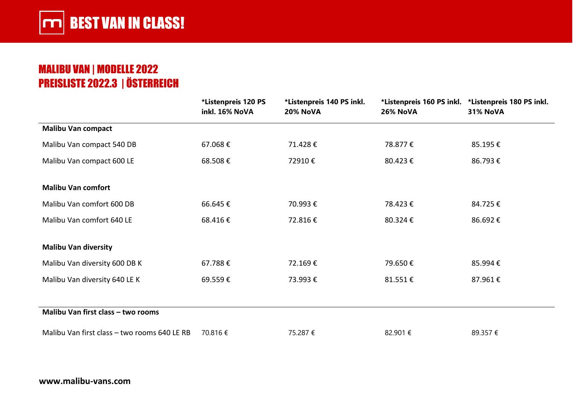### MALIBU VAN | MODELLE 2022 PREISLISTE 2022.3 | ÖSTERREICH

|                                              | *Listenpreis 120 PS<br>inkl. 16% NoVA | *Listenpreis 140 PS inkl.<br><b>20% NoVA</b> | 26% NoVA | *Listenpreis 160 PS inkl. *Listenpreis 180 PS inkl.<br><b>31% NoVA</b> |
|----------------------------------------------|---------------------------------------|----------------------------------------------|----------|------------------------------------------------------------------------|
| <b>Malibu Van compact</b>                    |                                       |                                              |          |                                                                        |
| Malibu Van compact 540 DB                    | 67.068€                               | 71.428€                                      | 78.877€  | 85.195€                                                                |
| Malibu Van compact 600 LE                    | 68.508€                               | 72910€                                       | 80.423€  | 86.793€                                                                |
| <b>Malibu Van comfort</b>                    |                                       |                                              |          |                                                                        |
| Malibu Van comfort 600 DB                    | 66.645€                               | 70.993€                                      | 78.423€  | 84.725€                                                                |
| Malibu Van comfort 640 LE                    | 68.416€                               | 72.816€                                      | 80.324€  | 86.692€                                                                |
| <b>Malibu Van diversity</b>                  |                                       |                                              |          |                                                                        |
| Malibu Van diversity 600 DB K                | 67.788€                               | 72.169€                                      | 79.650€  | 85.994€                                                                |
| Malibu Van diversity 640 LE K                | 69.559€                               | 73.993€                                      | 81.551€  | 87.961€                                                                |
|                                              |                                       |                                              |          |                                                                        |
| Malibu Van first class - two rooms           |                                       |                                              |          |                                                                        |
| Malibu Van first class - two rooms 640 LE RB | 70.816 €                              | 75.287€                                      | 82.901 € | 89.357€                                                                |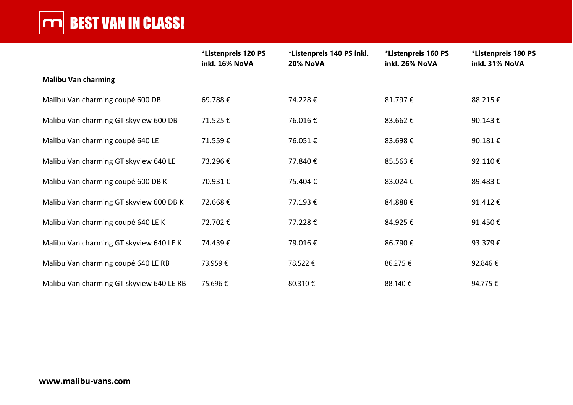# **THE BEST VAN IN CLASS!**

|                                          | *Listenpreis 120 PS<br>inkl. 16% NoVA | *Listenpreis 140 PS inkl.<br><b>20% NoVA</b> | *Listenpreis 160 PS<br>inkl. 26% NoVA | *Listenpreis 180 PS<br>inkl. 31% NoVA |
|------------------------------------------|---------------------------------------|----------------------------------------------|---------------------------------------|---------------------------------------|
| <b>Malibu Van charming</b>               |                                       |                                              |                                       |                                       |
| Malibu Van charming coupé 600 DB         | 69.788€                               | 74.228€                                      | 81.797€                               | 88.215€                               |
| Malibu Van charming GT skyview 600 DB    | 71.525€                               | 76.016€                                      | 83.662€                               | 90.143€                               |
| Malibu Van charming coupé 640 LE         | 71.559€                               | 76.051€                                      | 83.698€                               | 90.181€                               |
| Malibu Van charming GT skyview 640 LE    | 73.296€                               | 77.840€                                      | 85.563€                               | 92.110€                               |
| Malibu Van charming coupé 600 DB K       | 70.931€                               | 75.404€                                      | 83.024€                               | 89.483€                               |
| Malibu Van charming GT skyview 600 DB K  | 72.668€                               | 77.193€                                      | 84.888€                               | 91.412€                               |
| Malibu Van charming coupé 640 LE K       | 72.702€                               | 77.228€                                      | 84.925€                               | 91.450€                               |
| Malibu Van charming GT skyview 640 LE K  | 74.439€                               | 79.016€                                      | 86.790€                               | 93.379€                               |
| Malibu Van charming coupé 640 LE RB      | 73.959€                               | 78.522 €                                     | 86.275 €                              | 92.846€                               |
| Malibu Van charming GT skyview 640 LE RB | 75.696€                               | 80.310 €                                     | 88.140 €                              | 94.775€                               |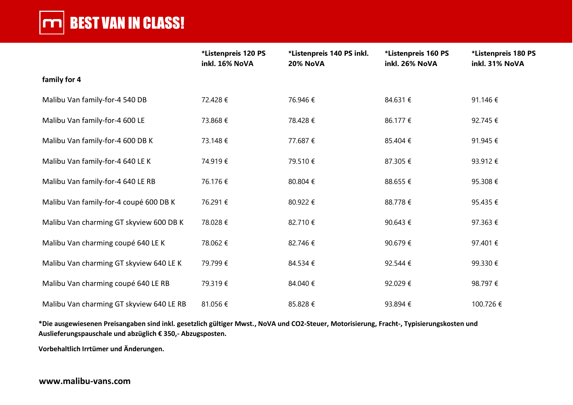## **CONDUCTS VAN IN CLASS!**

|                                          | *Listenpreis 120 PS<br>inkl. 16% NoVA | *Listenpreis 140 PS inkl.<br><b>20% NoVA</b> | *Listenpreis 160 PS<br>inkl. 26% NoVA | *Listenpreis 180 PS<br>inkl. 31% NoVA |
|------------------------------------------|---------------------------------------|----------------------------------------------|---------------------------------------|---------------------------------------|
| family for 4                             |                                       |                                              |                                       |                                       |
| Malibu Van family-for-4 540 DB           | 72.428€                               | 76.946€                                      | 84.631€                               | 91.146€                               |
| Malibu Van family-for-4 600 LE           | 73.868€                               | 78.428€                                      | 86.177 €                              | 92.745€                               |
| Malibu Van family-for-4 600 DB K         | 73.148€                               | 77.687 €                                     | 85.404 €                              | 91.945€                               |
| Malibu Van family-for-4 640 LE K         | 74.919€                               | 79.510€                                      | 87.305 €                              | 93.912€                               |
| Malibu Van family-for-4 640 LE RB        | 76.176€                               | 80.804€                                      | 88.655€                               | 95.308€                               |
| Malibu Van family-for-4 coupé 600 DB K   | 76.291€                               | 80.922€                                      | 88.778€                               | 95.435€                               |
| Malibu Van charming GT skyview 600 DB K  | 78.028€                               | 82.710€                                      | 90.643 €                              | 97.363€                               |
| Malibu Van charming coupé 640 LE K       | 78.062€                               | 82.746€                                      | 90.679€                               | 97.401€                               |
| Malibu Van charming GT skyview 640 LE K  | 79.799€                               | 84.534 €                                     | 92.544 €                              | 99.330€                               |
| Malibu Van charming coupé 640 LE RB      | 79.319€                               | 84.040 €                                     | 92.029€                               | 98.797€                               |
| Malibu Van charming GT skyview 640 LE RB | 81.056€                               | 85.828€                                      | 93.894 €                              | 100.726 €                             |

**\*Die ausgewiesenen Preisangaben sind inkl. gesetzlich gültiger Mwst., NoVA und CO2-Steuer, Motorisierung, Fracht-, Typisierungskosten und Auslieferungspauschale und abzüglich € 350,- Abzugsposten.**

**Vorbehaltlich Irrtümer und Änderungen.**

#### **www.malibu-vans.com**